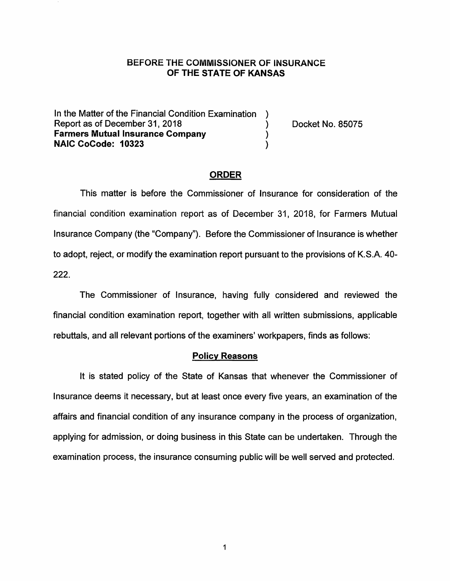### BEFORE THE COMMISSIONER OF INSURANCE **OF THE STATE OF KANSAS**

In the Matter of the Financial Condition Examination Report as of December 31, 2018 (and Separative Contract Algebra) Docket No. 85075 **Farmers Mutual Insurance Company** ) **NAIC CoCode: 10323** )

#### **ORDER**

This matter is before the Commissioner of Insurance for consideration of the financial condition examination report as of December 31, 2018, for Farmers Mutual Insurance Company (the "Company"). Before the Commissioner of Insurance is whether to adopt, reject, or modify the examination report pursuant to the provisions of K.S.A. 40- 222.

The Commissioner of Insurance, having fully considered and reviewed the financial condition examination report, together with all written submissions, applicable rebuttals, and all relevant portions of the examiners' workpapers, finds as follows:

#### **Policy Reasons**

It is stated policy of the State of Kansas that whenever the Commissioner of Insurance deems it necessary, but at least once every five years, an examination of the affairs and financial condition of any insurance company in the process of organization, applying for admission, or doing business in this State can be undertaken. Through the examination process, the insurance consuming public will be well served and protected.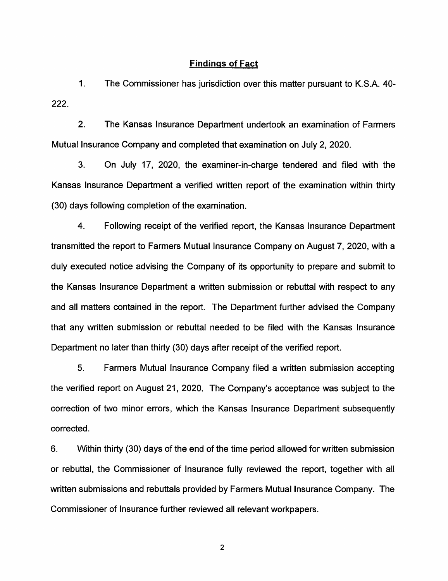#### **Findings of Fact**

1. The Commissioner has jurisdiction over this matter pursuant to K.S.A. 40- 222.

2. The Kansas Insurance Department undertook an examination of Farmers Mutual Insurance Company and completed that examination on July 2, 2020.

3. On July 17, 2020, the examiner-in-charge tendered and filed with the Kansas Insurance Department a verified written report of the examination within thirty (30) days following completion of the examination.

4. Following receipt of the verified report, the Kansas Insurance Department transmitted the report to Farmers Mutual Insurance Company on August 7, 2020, with a duly executed notice advising the Company of its opportunity to prepare and submit to the Kansas Insurance Department a written submission or rebuttal with respect to any and all matters contained in the report. The Department further advised the Company that any written submission or rebuttal needed to be filed with the Kansas Insurance Department no later than thirty (30) days after receipt of the verified report.

5. Farmers Mutual Insurance Company filed a written submission accepting the verified report on August 21, 2020. The Company's acceptance was subject to the correction of two minor errors, which the Kansas Insurance Department subsequently corrected.

6. Within thirty (30) days of the end of the time period allowed for written submission or rebuttal, the Commissioner of Insurance fully reviewed the report, together with all written submissions and rebuttals provided by Farmers Mutual Insurance Company. The Commissioner of Insurance further reviewed all relevant workpapers.

2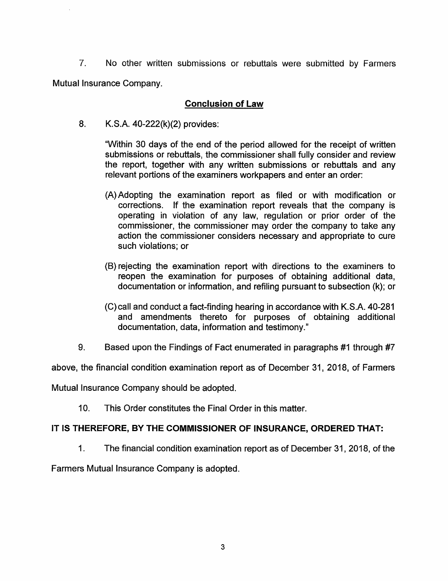7. No other written submissions or rebuttals were submitted by Farmers Mutual Insurance Company.

## **Conclusion of Law**

8. K.S.A. 40-222(k)(2) provides:

"Within 30 days of the end of the period allowed for the receipt of written submissions or rebuttals, the commissioner shall fully consider and review the report, together with any written submissions or rebuttals and any relevant portions of the examiners workpapers and enter an order:

- (A) Adopting the examination report as filed or with modification or corrections. If the examination report reveals that the company is operating in violation of any law, regulation or prior order of the commissioner, the commissioner may order the company to take any action the commissioner considers necessary and appropriate to cure such violations; or
- (8) rejecting the examination report with directions to the examiners to reopen the examination for purposes of obtaining additional data, documentation or information, and refiling pursuant to subsection (k); or
- (C)call and conduct a fact-finding hearing in accordance with K.S.A. 40-281 and amendments thereto for purposes of obtaining additional documentation, data, information and testimony."
- 9. Based upon the Findings of Fact enumerated in paragraphs #1 through #7

above, the financial condition examination report as of December 31, 2018, of Farmers

Mutual Insurance Company should be adopted.

10. This Order constitutes the Final Order in this matter.

### **IT IS THEREFORE, BY THE COMMISSIONER OF INSURANCE, ORDERED THAT:**

1. The financial condition examination report as of December 31, 2018, of the

Farmers Mutual Insurance Company is adopted.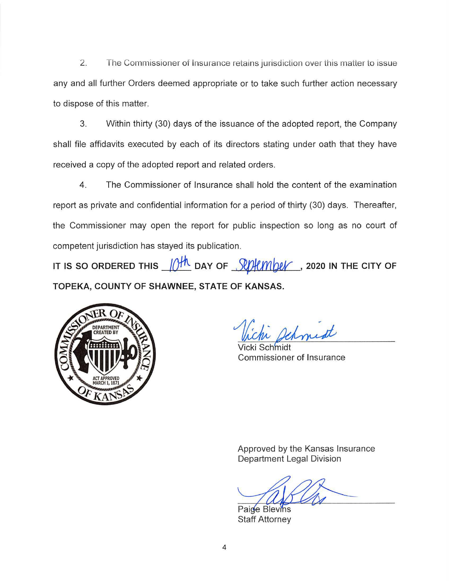2. The Commissioner of Insurance retains jurisdiction over this matter to issue any and all further Orders deemed appropriate or to take such further action necessary to dispose of this matter.

3. Within thirty (30) days of the issuance of the adopted report, the Company shall file affidavits executed by each of its directors stating under oath that they have received a copy of the adopted report and related orders.

4. The Commissioner of Insurance shall hold the content of the examination report as private and confidential information for a period of thirty (30) days. Thereafter, the Commissioner may open the report for public inspection so long as no court of competent jurisdiction has stayed its publication.

IT IS SO ORDERED THIS  $\frac{10^{14}}{10^{14}}$  DAY OF  $\frac{10}{10^{14}}$  , 2020 IN THE CITY OF **TOPEKA, COUNTY OF SHAWNEE, STATE OF KANSAS.** 



Inist

Schmidt Commissioner of Insurance

Approved by the Kansas Insurance Department Legal Division

Paige Blevins Staff Attorney